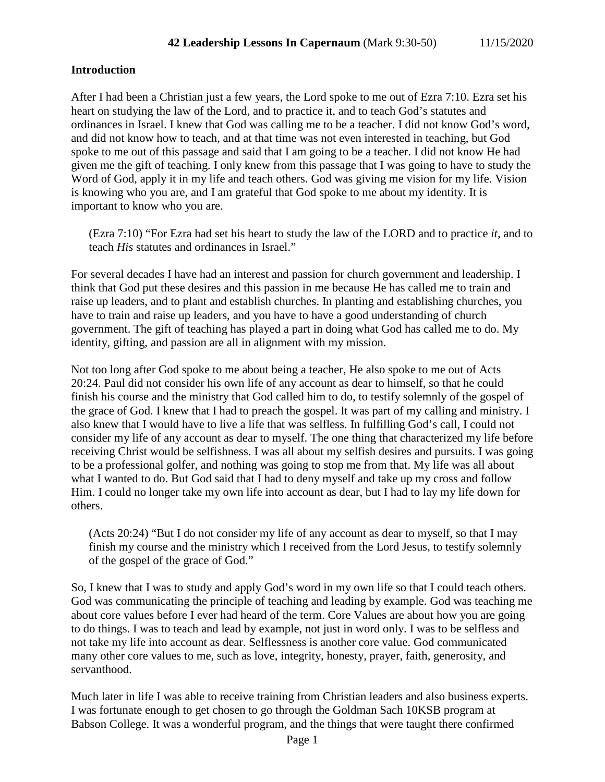## **Introduction**

After I had been a Christian just a few years, the Lord spoke to me out of Ezra 7:10. Ezra set his heart on studying the law of the Lord, and to practice it, and to teach God's statutes and ordinances in Israel. I knew that God was calling me to be a teacher. I did not know God's word, and did not know how to teach, and at that time was not even interested in teaching, but God spoke to me out of this passage and said that I am going to be a teacher. I did not know He had given me the gift of teaching. I only knew from this passage that I was going to have to study the Word of God, apply it in my life and teach others. God was giving me vision for my life. Vision is knowing who you are, and I am grateful that God spoke to me about my identity. It is important to know who you are.

(Ezra 7:10) "For Ezra had set his heart to study the law of the LORD and to practice *it,* and to teach *His* statutes and ordinances in Israel."

For several decades I have had an interest and passion for church government and leadership. I think that God put these desires and this passion in me because He has called me to train and raise up leaders, and to plant and establish churches. In planting and establishing churches, you have to train and raise up leaders, and you have to have a good understanding of church government. The gift of teaching has played a part in doing what God has called me to do. My identity, gifting, and passion are all in alignment with my mission.

Not too long after God spoke to me about being a teacher, He also spoke to me out of Acts 20:24. Paul did not consider his own life of any account as dear to himself, so that he could finish his course and the ministry that God called him to do, to testify solemnly of the gospel of the grace of God. I knew that I had to preach the gospel. It was part of my calling and ministry. I also knew that I would have to live a life that was selfless. In fulfilling God's call, I could not consider my life of any account as dear to myself. The one thing that characterized my life before receiving Christ would be selfishness. I was all about my selfish desires and pursuits. I was going to be a professional golfer, and nothing was going to stop me from that. My life was all about what I wanted to do. But God said that I had to deny myself and take up my cross and follow Him. I could no longer take my own life into account as dear, but I had to lay my life down for others.

(Acts 20:24) "But I do not consider my life of any account as dear to myself, so that I may finish my course and the ministry which I received from the Lord Jesus, to testify solemnly of the gospel of the grace of God."

So, I knew that I was to study and apply God's word in my own life so that I could teach others. God was communicating the principle of teaching and leading by example. God was teaching me about core values before I ever had heard of the term. Core Values are about how you are going to do things. I was to teach and lead by example, not just in word only. I was to be selfless and not take my life into account as dear. Selflessness is another core value. God communicated many other core values to me, such as love, integrity, honesty, prayer, faith, generosity, and servanthood.

Much later in life I was able to receive training from Christian leaders and also business experts. I was fortunate enough to get chosen to go through the Goldman Sach 10KSB program at Babson College. It was a wonderful program, and the things that were taught there confirmed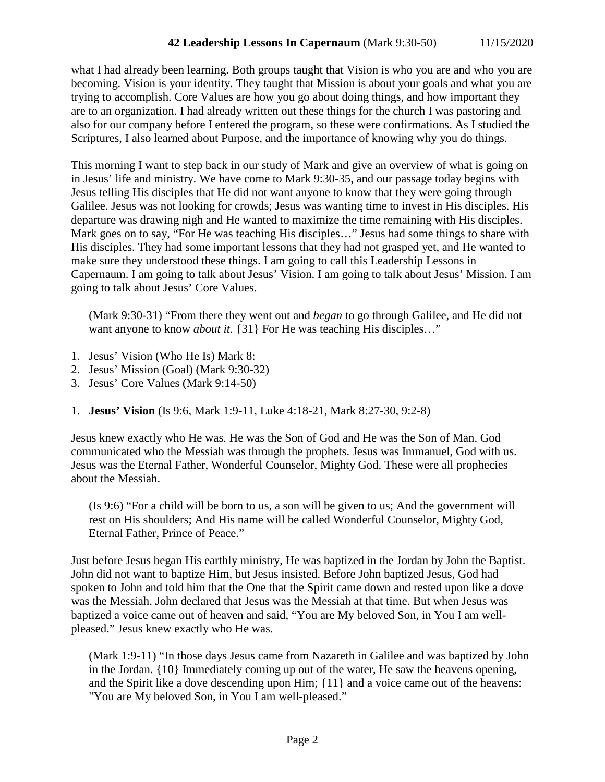what I had already been learning. Both groups taught that Vision is who you are and who you are becoming. Vision is your identity. They taught that Mission is about your goals and what you are trying to accomplish. Core Values are how you go about doing things, and how important they are to an organization. I had already written out these things for the church I was pastoring and also for our company before I entered the program, so these were confirmations. As I studied the Scriptures, I also learned about Purpose, and the importance of knowing why you do things.

This morning I want to step back in our study of Mark and give an overview of what is going on in Jesus' life and ministry. We have come to Mark 9:30-35, and our passage today begins with Jesus telling His disciples that He did not want anyone to know that they were going through Galilee. Jesus was not looking for crowds; Jesus was wanting time to invest in His disciples. His departure was drawing nigh and He wanted to maximize the time remaining with His disciples. Mark goes on to say, "For He was teaching His disciples…" Jesus had some things to share with His disciples. They had some important lessons that they had not grasped yet, and He wanted to make sure they understood these things. I am going to call this Leadership Lessons in Capernaum. I am going to talk about Jesus' Vision. I am going to talk about Jesus' Mission. I am going to talk about Jesus' Core Values.

(Mark 9:30-31) "From there they went out and *began* to go through Galilee, and He did not want anyone to know *about it.* {31} For He was teaching His disciples..."

- 1. Jesus' Vision (Who He Is) Mark 8:
- 2. Jesus' Mission (Goal) (Mark 9:30-32)
- 3. Jesus' Core Values (Mark 9:14-50)
- 1. **Jesus' Vision** (Is 9:6, Mark 1:9-11, Luke 4:18-21, Mark 8:27-30, 9:2-8)

Jesus knew exactly who He was. He was the Son of God and He was the Son of Man. God communicated who the Messiah was through the prophets. Jesus was Immanuel, God with us. Jesus was the Eternal Father, Wonderful Counselor, Mighty God. These were all prophecies about the Messiah.

(Is 9:6) "For a child will be born to us, a son will be given to us; And the government will rest on His shoulders; And His name will be called Wonderful Counselor, Mighty God, Eternal Father, Prince of Peace."

Just before Jesus began His earthly ministry, He was baptized in the Jordan by John the Baptist. John did not want to baptize Him, but Jesus insisted. Before John baptized Jesus, God had spoken to John and told him that the One that the Spirit came down and rested upon like a dove was the Messiah. John declared that Jesus was the Messiah at that time. But when Jesus was baptized a voice came out of heaven and said, "You are My beloved Son, in You I am wellpleased." Jesus knew exactly who He was.

(Mark 1:9-11) "In those days Jesus came from Nazareth in Galilee and was baptized by John in the Jordan. {10} Immediately coming up out of the water, He saw the heavens opening, and the Spirit like a dove descending upon Him; {11} and a voice came out of the heavens: "You are My beloved Son, in You I am well-pleased."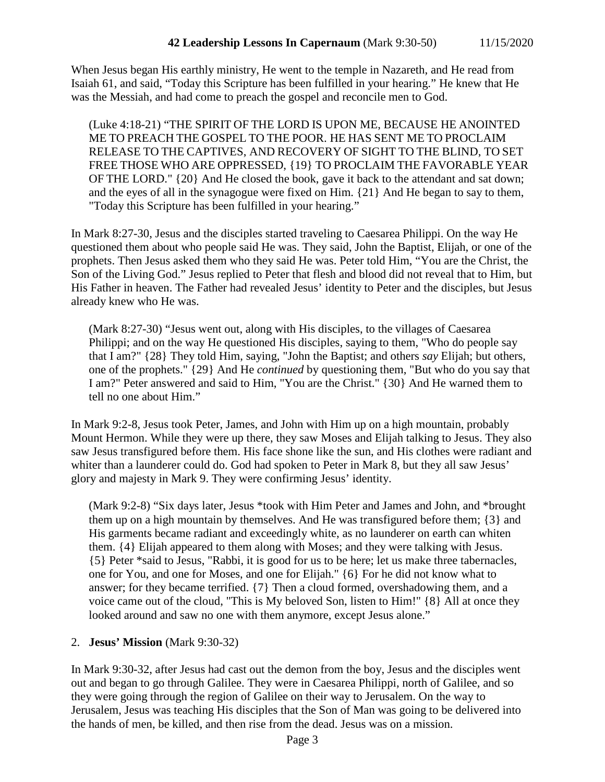When Jesus began His earthly ministry, He went to the temple in Nazareth, and He read from Isaiah 61, and said, "Today this Scripture has been fulfilled in your hearing." He knew that He was the Messiah, and had come to preach the gospel and reconcile men to God.

(Luke 4:18-21) "THE SPIRIT OF THE LORD IS UPON ME, BECAUSE HE ANOINTED ME TO PREACH THE GOSPEL TO THE POOR. HE HAS SENT ME TO PROCLAIM RELEASE TO THE CAPTIVES, AND RECOVERY OF SIGHT TO THE BLIND, TO SET FREE THOSE WHO ARE OPPRESSED, {19} TO PROCLAIM THE FAVORABLE YEAR OF THE LORD." {20} And He closed the book, gave it back to the attendant and sat down; and the eyes of all in the synagogue were fixed on Him. {21} And He began to say to them, "Today this Scripture has been fulfilled in your hearing."

In Mark 8:27-30, Jesus and the disciples started traveling to Caesarea Philippi. On the way He questioned them about who people said He was. They said, John the Baptist, Elijah, or one of the prophets. Then Jesus asked them who they said He was. Peter told Him, "You are the Christ, the Son of the Living God." Jesus replied to Peter that flesh and blood did not reveal that to Him, but His Father in heaven. The Father had revealed Jesus' identity to Peter and the disciples, but Jesus already knew who He was.

(Mark 8:27-30) "Jesus went out, along with His disciples, to the villages of Caesarea Philippi; and on the way He questioned His disciples, saying to them, "Who do people say that I am?" {28} They told Him, saying, "John the Baptist; and others *say* Elijah; but others, one of the prophets." {29} And He *continued* by questioning them, "But who do you say that I am?" Peter answered and said to Him, "You are the Christ." {30} And He warned them to tell no one about Him."

In Mark 9:2-8, Jesus took Peter, James, and John with Him up on a high mountain, probably Mount Hermon. While they were up there, they saw Moses and Elijah talking to Jesus. They also saw Jesus transfigured before them. His face shone like the sun, and His clothes were radiant and whiter than a launderer could do. God had spoken to Peter in Mark 8, but they all saw Jesus' glory and majesty in Mark 9. They were confirming Jesus' identity.

(Mark 9:2-8) "Six days later, Jesus \*took with Him Peter and James and John, and \*brought them up on a high mountain by themselves. And He was transfigured before them; {3} and His garments became radiant and exceedingly white, as no launderer on earth can whiten them. {4} Elijah appeared to them along with Moses; and they were talking with Jesus. {5} Peter \*said to Jesus, "Rabbi, it is good for us to be here; let us make three tabernacles, one for You, and one for Moses, and one for Elijah." {6} For he did not know what to answer; for they became terrified. {7} Then a cloud formed, overshadowing them, and a voice came out of the cloud, "This is My beloved Son, listen to Him!" {8} All at once they looked around and saw no one with them anymore, except Jesus alone."

### 2. **Jesus' Mission** (Mark 9:30-32)

In Mark 9:30-32, after Jesus had cast out the demon from the boy, Jesus and the disciples went out and began to go through Galilee. They were in Caesarea Philippi, north of Galilee, and so they were going through the region of Galilee on their way to Jerusalem. On the way to Jerusalem, Jesus was teaching His disciples that the Son of Man was going to be delivered into the hands of men, be killed, and then rise from the dead. Jesus was on a mission.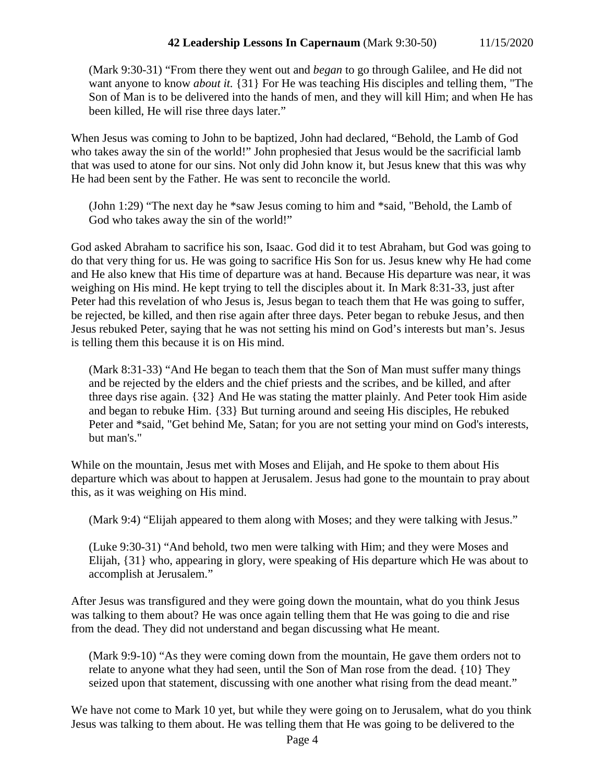(Mark 9:30-31) "From there they went out and *began* to go through Galilee, and He did not want anyone to know *about it.* {31} For He was teaching His disciples and telling them, "The Son of Man is to be delivered into the hands of men, and they will kill Him; and when He has been killed, He will rise three days later."

When Jesus was coming to John to be baptized, John had declared, "Behold, the Lamb of God who takes away the sin of the world!" John prophesied that Jesus would be the sacrificial lamb that was used to atone for our sins. Not only did John know it, but Jesus knew that this was why He had been sent by the Father. He was sent to reconcile the world.

(John 1:29) "The next day he \*saw Jesus coming to him and \*said, "Behold, the Lamb of God who takes away the sin of the world!"

God asked Abraham to sacrifice his son, Isaac. God did it to test Abraham, but God was going to do that very thing for us. He was going to sacrifice His Son for us. Jesus knew why He had come and He also knew that His time of departure was at hand. Because His departure was near, it was weighing on His mind. He kept trying to tell the disciples about it. In Mark 8:31-33, just after Peter had this revelation of who Jesus is, Jesus began to teach them that He was going to suffer, be rejected, be killed, and then rise again after three days. Peter began to rebuke Jesus, and then Jesus rebuked Peter, saying that he was not setting his mind on God's interests but man's. Jesus is telling them this because it is on His mind.

(Mark 8:31-33) "And He began to teach them that the Son of Man must suffer many things and be rejected by the elders and the chief priests and the scribes, and be killed, and after three days rise again. {32} And He was stating the matter plainly. And Peter took Him aside and began to rebuke Him. {33} But turning around and seeing His disciples, He rebuked Peter and \*said, "Get behind Me, Satan; for you are not setting your mind on God's interests, but man's."

While on the mountain, Jesus met with Moses and Elijah, and He spoke to them about His departure which was about to happen at Jerusalem. Jesus had gone to the mountain to pray about this, as it was weighing on His mind.

(Mark 9:4) "Elijah appeared to them along with Moses; and they were talking with Jesus."

(Luke 9:30-31) "And behold, two men were talking with Him; and they were Moses and Elijah, {31} who, appearing in glory, were speaking of His departure which He was about to accomplish at Jerusalem."

After Jesus was transfigured and they were going down the mountain, what do you think Jesus was talking to them about? He was once again telling them that He was going to die and rise from the dead. They did not understand and began discussing what He meant.

(Mark 9:9-10) "As they were coming down from the mountain, He gave them orders not to relate to anyone what they had seen, until the Son of Man rose from the dead. {10} They seized upon that statement, discussing with one another what rising from the dead meant."

We have not come to Mark 10 yet, but while they were going on to Jerusalem, what do you think Jesus was talking to them about. He was telling them that He was going to be delivered to the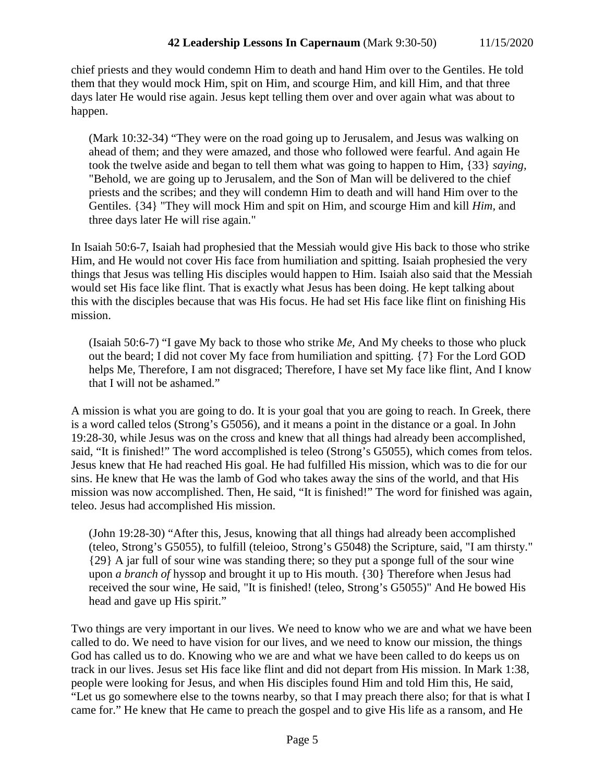chief priests and they would condemn Him to death and hand Him over to the Gentiles. He told them that they would mock Him, spit on Him, and scourge Him, and kill Him, and that three days later He would rise again. Jesus kept telling them over and over again what was about to happen.

(Mark 10:32-34) "They were on the road going up to Jerusalem, and Jesus was walking on ahead of them; and they were amazed, and those who followed were fearful. And again He took the twelve aside and began to tell them what was going to happen to Him, {33} *saying,* "Behold, we are going up to Jerusalem, and the Son of Man will be delivered to the chief priests and the scribes; and they will condemn Him to death and will hand Him over to the Gentiles. {34} "They will mock Him and spit on Him, and scourge Him and kill *Him,* and three days later He will rise again."

In Isaiah 50:6-7, Isaiah had prophesied that the Messiah would give His back to those who strike Him, and He would not cover His face from humiliation and spitting. Isaiah prophesied the very things that Jesus was telling His disciples would happen to Him. Isaiah also said that the Messiah would set His face like flint. That is exactly what Jesus has been doing. He kept talking about this with the disciples because that was His focus. He had set His face like flint on finishing His mission.

(Isaiah 50:6-7) "I gave My back to those who strike *Me,* And My cheeks to those who pluck out the beard; I did not cover My face from humiliation and spitting. {7} For the Lord GOD helps Me, Therefore, I am not disgraced; Therefore, I have set My face like flint, And I know that I will not be ashamed."

A mission is what you are going to do. It is your goal that you are going to reach. In Greek, there is a word called telos (Strong's G5056), and it means a point in the distance or a goal. In John 19:28-30, while Jesus was on the cross and knew that all things had already been accomplished, said, "It is finished!" The word accomplished is teleo (Strong's G5055), which comes from telos. Jesus knew that He had reached His goal. He had fulfilled His mission, which was to die for our sins. He knew that He was the lamb of God who takes away the sins of the world, and that His mission was now accomplished. Then, He said, "It is finished!" The word for finished was again, teleo. Jesus had accomplished His mission.

(John 19:28-30) "After this, Jesus, knowing that all things had already been accomplished (teleo, Strong's G5055), to fulfill (teleioo, Strong's G5048) the Scripture, said, "I am thirsty." {29} A jar full of sour wine was standing there; so they put a sponge full of the sour wine upon *a branch of* hyssop and brought it up to His mouth. {30} Therefore when Jesus had received the sour wine, He said, "It is finished! (teleo, Strong's G5055)" And He bowed His head and gave up His spirit."

Two things are very important in our lives. We need to know who we are and what we have been called to do. We need to have vision for our lives, and we need to know our mission, the things God has called us to do. Knowing who we are and what we have been called to do keeps us on track in our lives. Jesus set His face like flint and did not depart from His mission. In Mark 1:38, people were looking for Jesus, and when His disciples found Him and told Him this, He said, "Let us go somewhere else to the towns nearby, so that I may preach there also; for that is what I came for." He knew that He came to preach the gospel and to give His life as a ransom, and He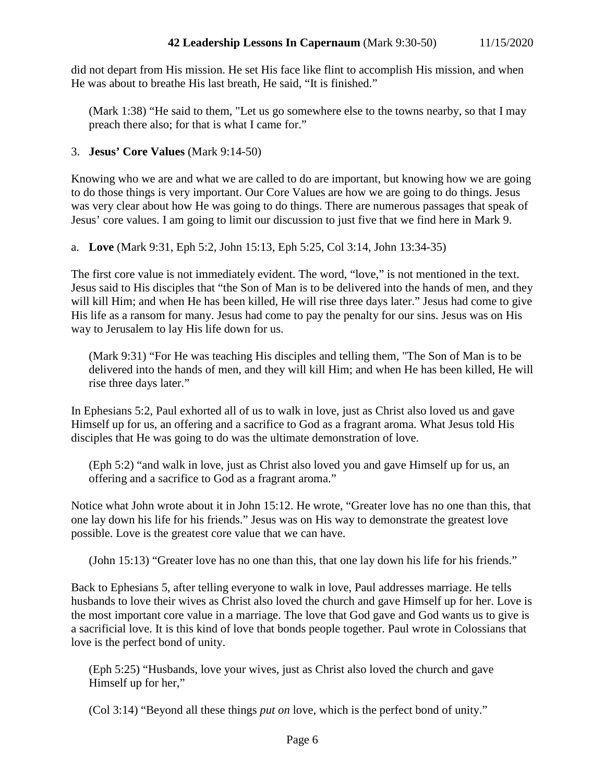did not depart from His mission. He set His face like flint to accomplish His mission, and when He was about to breathe His last breath, He said, "It is finished."

(Mark 1:38) "He said to them, "Let us go somewhere else to the towns nearby, so that I may preach there also; for that is what I came for."

# 3. **Jesus' Core Values** (Mark 9:14-50)

Knowing who we are and what we are called to do are important, but knowing how we are going to do those things is very important. Our Core Values are how we are going to do things. Jesus was very clear about how He was going to do things. There are numerous passages that speak of Jesus' core values. I am going to limit our discussion to just five that we find here in Mark 9.

a. **Love** (Mark 9:31, Eph 5:2, John 15:13, Eph 5:25, Col 3:14, John 13:34-35)

The first core value is not immediately evident. The word, "love," is not mentioned in the text. Jesus said to His disciples that "the Son of Man is to be delivered into the hands of men, and they will kill Him; and when He has been killed, He will rise three days later." Jesus had come to give His life as a ransom for many. Jesus had come to pay the penalty for our sins. Jesus was on His way to Jerusalem to lay His life down for us.

(Mark 9:31) "For He was teaching His disciples and telling them, "The Son of Man is to be delivered into the hands of men, and they will kill Him; and when He has been killed, He will rise three days later."

In Ephesians 5:2, Paul exhorted all of us to walk in love, just as Christ also loved us and gave Himself up for us, an offering and a sacrifice to God as a fragrant aroma. What Jesus told His disciples that He was going to do was the ultimate demonstration of love.

(Eph 5:2) "and walk in love, just as Christ also loved you and gave Himself up for us, an offering and a sacrifice to God as a fragrant aroma."

Notice what John wrote about it in John 15:12. He wrote, "Greater love has no one than this, that one lay down his life for his friends." Jesus was on His way to demonstrate the greatest love possible. Love is the greatest core value that we can have.

(John 15:13) "Greater love has no one than this, that one lay down his life for his friends."

Back to Ephesians 5, after telling everyone to walk in love, Paul addresses marriage. He tells husbands to love their wives as Christ also loved the church and gave Himself up for her. Love is the most important core value in a marriage. The love that God gave and God wants us to give is a sacrificial love. It is this kind of love that bonds people together. Paul wrote in Colossians that love is the perfect bond of unity.

(Eph 5:25) "Husbands, love your wives, just as Christ also loved the church and gave Himself up for her,"

(Col 3:14) "Beyond all these things *put on* love, which is the perfect bond of unity."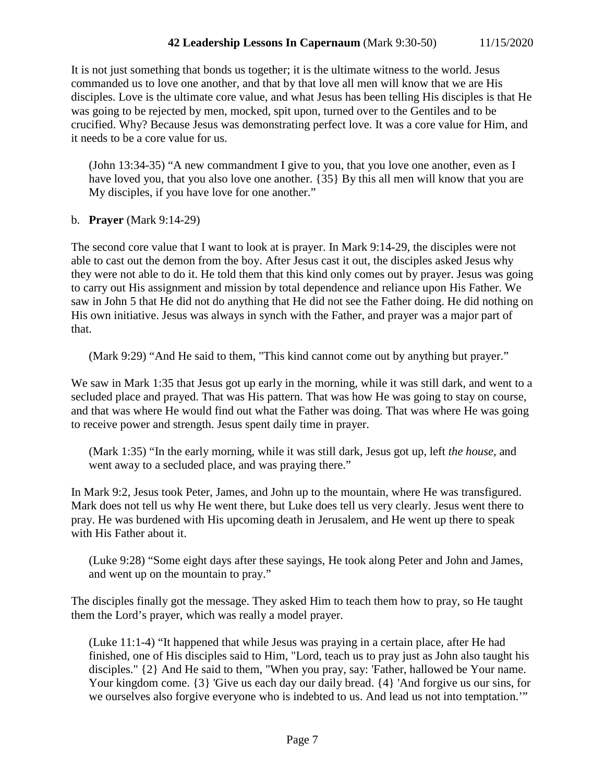It is not just something that bonds us together; it is the ultimate witness to the world. Jesus commanded us to love one another, and that by that love all men will know that we are His disciples. Love is the ultimate core value, and what Jesus has been telling His disciples is that He was going to be rejected by men, mocked, spit upon, turned over to the Gentiles and to be crucified. Why? Because Jesus was demonstrating perfect love. It was a core value for Him, and it needs to be a core value for us.

(John 13:34-35) "A new commandment I give to you, that you love one another, even as I have loved you, that you also love one another. {35} By this all men will know that you are My disciples, if you have love for one another."

b. **Prayer** (Mark 9:14-29)

The second core value that I want to look at is prayer. In Mark 9:14-29, the disciples were not able to cast out the demon from the boy. After Jesus cast it out, the disciples asked Jesus why they were not able to do it. He told them that this kind only comes out by prayer. Jesus was going to carry out His assignment and mission by total dependence and reliance upon His Father. We saw in John 5 that He did not do anything that He did not see the Father doing. He did nothing on His own initiative. Jesus was always in synch with the Father, and prayer was a major part of that.

(Mark 9:29) "And He said to them, "This kind cannot come out by anything but prayer."

We saw in Mark 1:35 that Jesus got up early in the morning, while it was still dark, and went to a secluded place and prayed. That was His pattern. That was how He was going to stay on course, and that was where He would find out what the Father was doing. That was where He was going to receive power and strength. Jesus spent daily time in prayer.

(Mark 1:35) "In the early morning, while it was still dark, Jesus got up, left *the house,* and went away to a secluded place, and was praying there."

In Mark 9:2, Jesus took Peter, James, and John up to the mountain, where He was transfigured. Mark does not tell us why He went there, but Luke does tell us very clearly. Jesus went there to pray. He was burdened with His upcoming death in Jerusalem, and He went up there to speak with His Father about it.

(Luke 9:28) "Some eight days after these sayings, He took along Peter and John and James, and went up on the mountain to pray."

The disciples finally got the message. They asked Him to teach them how to pray, so He taught them the Lord's prayer, which was really a model prayer.

(Luke 11:1-4) "It happened that while Jesus was praying in a certain place, after He had finished, one of His disciples said to Him, "Lord, teach us to pray just as John also taught his disciples." {2} And He said to them, "When you pray, say: 'Father, hallowed be Your name. Your kingdom come. {3} 'Give us each day our daily bread. {4} 'And forgive us our sins, for we ourselves also forgive everyone who is indebted to us. And lead us not into temptation.'"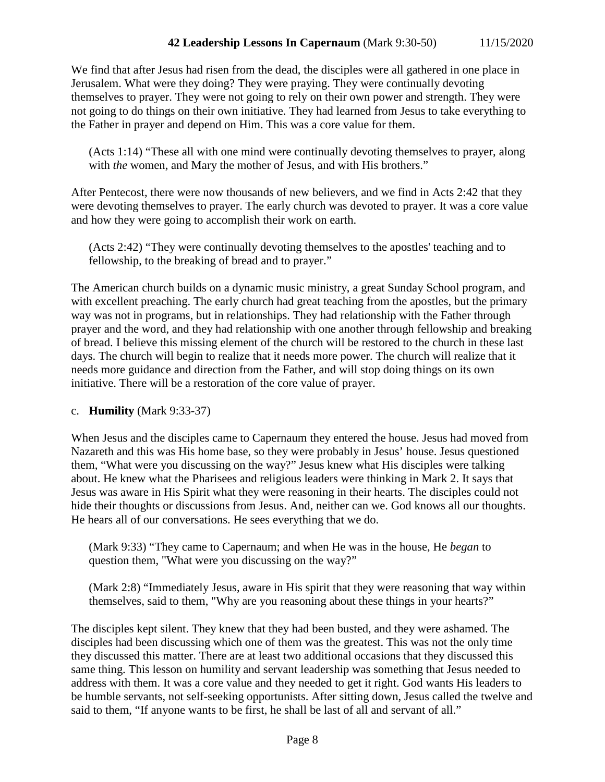We find that after Jesus had risen from the dead, the disciples were all gathered in one place in Jerusalem. What were they doing? They were praying. They were continually devoting themselves to prayer. They were not going to rely on their own power and strength. They were not going to do things on their own initiative. They had learned from Jesus to take everything to the Father in prayer and depend on Him. This was a core value for them.

(Acts 1:14) "These all with one mind were continually devoting themselves to prayer, along with *the* women, and Mary the mother of Jesus, and with His brothers."

After Pentecost, there were now thousands of new believers, and we find in Acts 2:42 that they were devoting themselves to prayer. The early church was devoted to prayer. It was a core value and how they were going to accomplish their work on earth.

(Acts 2:42) "They were continually devoting themselves to the apostles' teaching and to fellowship, to the breaking of bread and to prayer."

The American church builds on a dynamic music ministry, a great Sunday School program, and with excellent preaching. The early church had great teaching from the apostles, but the primary way was not in programs, but in relationships. They had relationship with the Father through prayer and the word, and they had relationship with one another through fellowship and breaking of bread. I believe this missing element of the church will be restored to the church in these last days. The church will begin to realize that it needs more power. The church will realize that it needs more guidance and direction from the Father, and will stop doing things on its own initiative. There will be a restoration of the core value of prayer.

### c. **Humility** (Mark 9:33-37)

When Jesus and the disciples came to Capernaum they entered the house. Jesus had moved from Nazareth and this was His home base, so they were probably in Jesus' house. Jesus questioned them, "What were you discussing on the way?" Jesus knew what His disciples were talking about. He knew what the Pharisees and religious leaders were thinking in Mark 2. It says that Jesus was aware in His Spirit what they were reasoning in their hearts. The disciples could not hide their thoughts or discussions from Jesus. And, neither can we. God knows all our thoughts. He hears all of our conversations. He sees everything that we do.

(Mark 9:33) "They came to Capernaum; and when He was in the house, He *began* to question them, "What were you discussing on the way?"

(Mark 2:8) "Immediately Jesus, aware in His spirit that they were reasoning that way within themselves, said to them, "Why are you reasoning about these things in your hearts?"

The disciples kept silent. They knew that they had been busted, and they were ashamed. The disciples had been discussing which one of them was the greatest. This was not the only time they discussed this matter. There are at least two additional occasions that they discussed this same thing. This lesson on humility and servant leadership was something that Jesus needed to address with them. It was a core value and they needed to get it right. God wants His leaders to be humble servants, not self-seeking opportunists. After sitting down, Jesus called the twelve and said to them, "If anyone wants to be first, he shall be last of all and servant of all."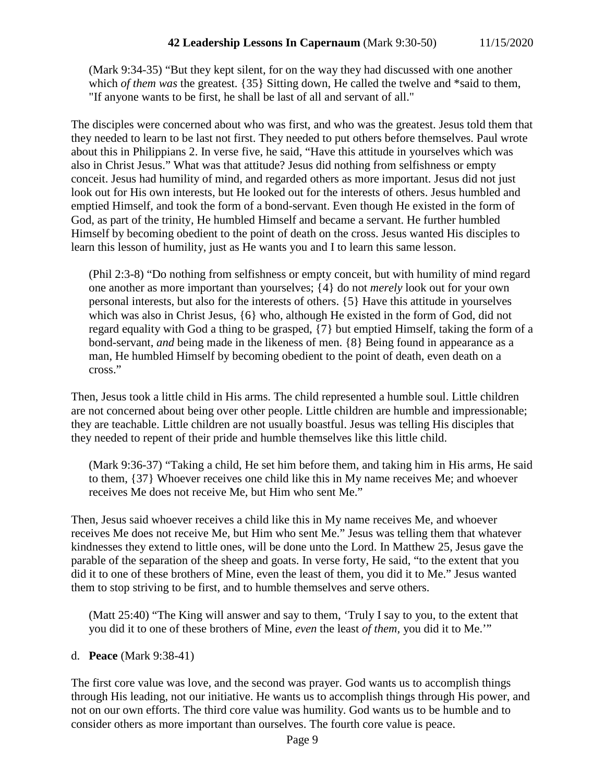(Mark 9:34-35) "But they kept silent, for on the way they had discussed with one another which *of them was* the greatest. {35} Sitting down, He called the twelve and \*said to them, "If anyone wants to be first, he shall be last of all and servant of all."

The disciples were concerned about who was first, and who was the greatest. Jesus told them that they needed to learn to be last not first. They needed to put others before themselves. Paul wrote about this in Philippians 2. In verse five, he said, "Have this attitude in yourselves which was also in Christ Jesus." What was that attitude? Jesus did nothing from selfishness or empty conceit. Jesus had humility of mind, and regarded others as more important. Jesus did not just look out for His own interests, but He looked out for the interests of others. Jesus humbled and emptied Himself, and took the form of a bond-servant. Even though He existed in the form of God, as part of the trinity, He humbled Himself and became a servant. He further humbled Himself by becoming obedient to the point of death on the cross. Jesus wanted His disciples to learn this lesson of humility, just as He wants you and I to learn this same lesson.

(Phil 2:3-8) "Do nothing from selfishness or empty conceit, but with humility of mind regard one another as more important than yourselves; {4} do not *merely* look out for your own personal interests, but also for the interests of others. {5} Have this attitude in yourselves which was also in Christ Jesus, {6} who, although He existed in the form of God, did not regard equality with God a thing to be grasped, {7} but emptied Himself, taking the form of a bond-servant, *and* being made in the likeness of men. {8} Being found in appearance as a man, He humbled Himself by becoming obedient to the point of death, even death on a cross."

Then, Jesus took a little child in His arms. The child represented a humble soul. Little children are not concerned about being over other people. Little children are humble and impressionable; they are teachable. Little children are not usually boastful. Jesus was telling His disciples that they needed to repent of their pride and humble themselves like this little child.

(Mark 9:36-37) "Taking a child, He set him before them, and taking him in His arms, He said to them, {37} Whoever receives one child like this in My name receives Me; and whoever receives Me does not receive Me, but Him who sent Me."

Then, Jesus said whoever receives a child like this in My name receives Me, and whoever receives Me does not receive Me, but Him who sent Me." Jesus was telling them that whatever kindnesses they extend to little ones, will be done unto the Lord. In Matthew 25, Jesus gave the parable of the separation of the sheep and goats. In verse forty, He said, "to the extent that you did it to one of these brothers of Mine, even the least of them, you did it to Me." Jesus wanted them to stop striving to be first, and to humble themselves and serve others.

(Matt 25:40) "The King will answer and say to them, 'Truly I say to you, to the extent that you did it to one of these brothers of Mine, *even* the least *of them,* you did it to Me.'"

### d. **Peace** (Mark 9:38-41)

The first core value was love, and the second was prayer. God wants us to accomplish things through His leading, not our initiative. He wants us to accomplish things through His power, and not on our own efforts. The third core value was humility. God wants us to be humble and to consider others as more important than ourselves. The fourth core value is peace.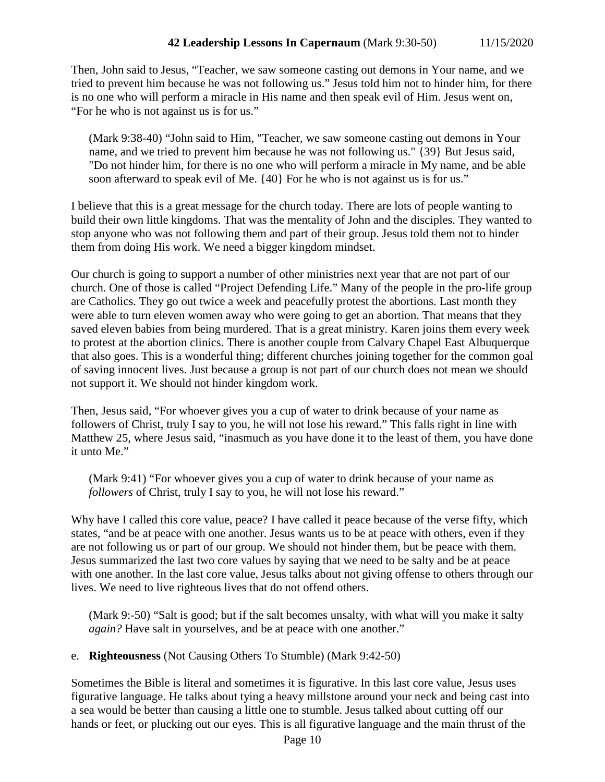Then, John said to Jesus, "Teacher, we saw someone casting out demons in Your name, and we tried to prevent him because he was not following us." Jesus told him not to hinder him, for there is no one who will perform a miracle in His name and then speak evil of Him. Jesus went on, "For he who is not against us is for us."

(Mark 9:38-40) "John said to Him, "Teacher, we saw someone casting out demons in Your name, and we tried to prevent him because he was not following us." {39} But Jesus said, "Do not hinder him, for there is no one who will perform a miracle in My name, and be able soon afterward to speak evil of Me. {40} For he who is not against us is for us."

I believe that this is a great message for the church today. There are lots of people wanting to build their own little kingdoms. That was the mentality of John and the disciples. They wanted to stop anyone who was not following them and part of their group. Jesus told them not to hinder them from doing His work. We need a bigger kingdom mindset.

Our church is going to support a number of other ministries next year that are not part of our church. One of those is called "Project Defending Life." Many of the people in the pro-life group are Catholics. They go out twice a week and peacefully protest the abortions. Last month they were able to turn eleven women away who were going to get an abortion. That means that they saved eleven babies from being murdered. That is a great ministry. Karen joins them every week to protest at the abortion clinics. There is another couple from Calvary Chapel East Albuquerque that also goes. This is a wonderful thing; different churches joining together for the common goal of saving innocent lives. Just because a group is not part of our church does not mean we should not support it. We should not hinder kingdom work.

Then, Jesus said, "For whoever gives you a cup of water to drink because of your name as followers of Christ, truly I say to you, he will not lose his reward." This falls right in line with Matthew 25, where Jesus said, "inasmuch as you have done it to the least of them, you have done it unto Me."

(Mark 9:41) "For whoever gives you a cup of water to drink because of your name as *followers* of Christ, truly I say to you, he will not lose his reward."

Why have I called this core value, peace? I have called it peace because of the verse fifty, which states, "and be at peace with one another. Jesus wants us to be at peace with others, even if they are not following us or part of our group. We should not hinder them, but be peace with them. Jesus summarized the last two core values by saying that we need to be salty and be at peace with one another. In the last core value, Jesus talks about not giving offense to others through our lives. We need to live righteous lives that do not offend others.

(Mark 9:-50) "Salt is good; but if the salt becomes unsalty, with what will you make it salty *again?* Have salt in yourselves, and be at peace with one another."

e. **Righteousness** (Not Causing Others To Stumble) (Mark 9:42-50)

Sometimes the Bible is literal and sometimes it is figurative. In this last core value, Jesus uses figurative language. He talks about tying a heavy millstone around your neck and being cast into a sea would be better than causing a little one to stumble. Jesus talked about cutting off our hands or feet, or plucking out our eyes. This is all figurative language and the main thrust of the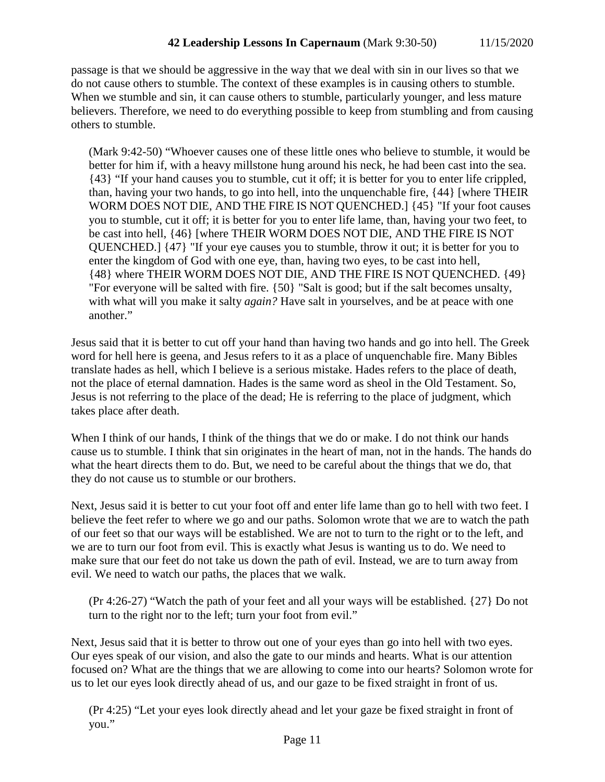passage is that we should be aggressive in the way that we deal with sin in our lives so that we do not cause others to stumble. The context of these examples is in causing others to stumble. When we stumble and sin, it can cause others to stumble, particularly younger, and less mature believers. Therefore, we need to do everything possible to keep from stumbling and from causing others to stumble.

(Mark 9:42-50) "Whoever causes one of these little ones who believe to stumble, it would be better for him if, with a heavy millstone hung around his neck, he had been cast into the sea. {43} "If your hand causes you to stumble, cut it off; it is better for you to enter life crippled, than, having your two hands, to go into hell, into the unquenchable fire, {44} [where THEIR WORM DOES NOT DIE, AND THE FIRE IS NOT QUENCHED.] {45} "If your foot causes you to stumble, cut it off; it is better for you to enter life lame, than, having your two feet, to be cast into hell, {46} [where THEIR WORM DOES NOT DIE, AND THE FIRE IS NOT QUENCHED.] {47} "If your eye causes you to stumble, throw it out; it is better for you to enter the kingdom of God with one eye, than, having two eyes, to be cast into hell, {48} where THEIR WORM DOES NOT DIE, AND THE FIRE IS NOT QUENCHED. {49} "For everyone will be salted with fire. {50} "Salt is good; but if the salt becomes unsalty, with what will you make it salty *again?* Have salt in yourselves, and be at peace with one another."

Jesus said that it is better to cut off your hand than having two hands and go into hell. The Greek word for hell here is geena, and Jesus refers to it as a place of unquenchable fire. Many Bibles translate hades as hell, which I believe is a serious mistake. Hades refers to the place of death, not the place of eternal damnation. Hades is the same word as sheol in the Old Testament. So, Jesus is not referring to the place of the dead; He is referring to the place of judgment, which takes place after death.

When I think of our hands, I think of the things that we do or make. I do not think our hands cause us to stumble. I think that sin originates in the heart of man, not in the hands. The hands do what the heart directs them to do. But, we need to be careful about the things that we do, that they do not cause us to stumble or our brothers.

Next, Jesus said it is better to cut your foot off and enter life lame than go to hell with two feet. I believe the feet refer to where we go and our paths. Solomon wrote that we are to watch the path of our feet so that our ways will be established. We are not to turn to the right or to the left, and we are to turn our foot from evil. This is exactly what Jesus is wanting us to do. We need to make sure that our feet do not take us down the path of evil. Instead, we are to turn away from evil. We need to watch our paths, the places that we walk.

(Pr 4:26-27) "Watch the path of your feet and all your ways will be established. {27} Do not turn to the right nor to the left; turn your foot from evil."

Next, Jesus said that it is better to throw out one of your eyes than go into hell with two eyes. Our eyes speak of our vision, and also the gate to our minds and hearts. What is our attention focused on? What are the things that we are allowing to come into our hearts? Solomon wrote for us to let our eyes look directly ahead of us, and our gaze to be fixed straight in front of us.

(Pr 4:25) "Let your eyes look directly ahead and let your gaze be fixed straight in front of you."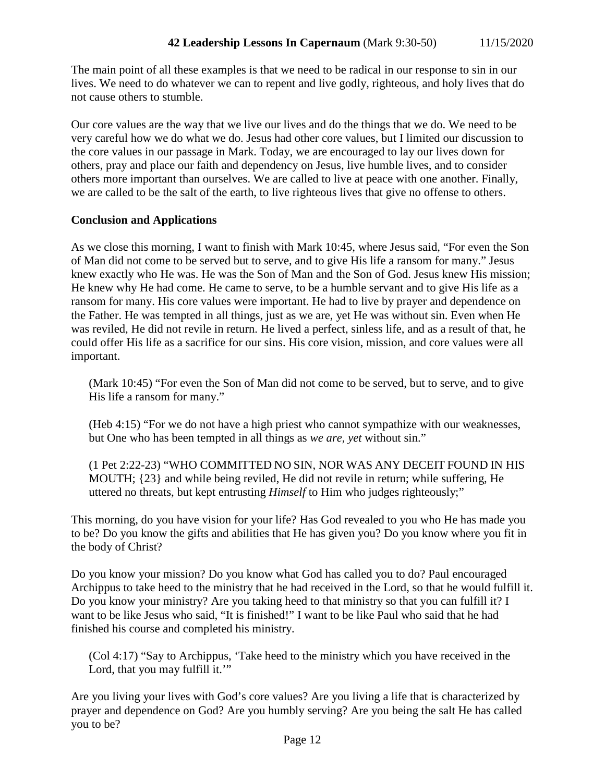The main point of all these examples is that we need to be radical in our response to sin in our lives. We need to do whatever we can to repent and live godly, righteous, and holy lives that do not cause others to stumble.

Our core values are the way that we live our lives and do the things that we do. We need to be very careful how we do what we do. Jesus had other core values, but I limited our discussion to the core values in our passage in Mark. Today, we are encouraged to lay our lives down for others, pray and place our faith and dependency on Jesus, live humble lives, and to consider others more important than ourselves. We are called to live at peace with one another. Finally, we are called to be the salt of the earth, to live righteous lives that give no offense to others.

#### **Conclusion and Applications**

As we close this morning, I want to finish with Mark 10:45, where Jesus said, "For even the Son of Man did not come to be served but to serve, and to give His life a ransom for many." Jesus knew exactly who He was. He was the Son of Man and the Son of God. Jesus knew His mission; He knew why He had come. He came to serve, to be a humble servant and to give His life as a ransom for many. His core values were important. He had to live by prayer and dependence on the Father. He was tempted in all things, just as we are, yet He was without sin. Even when He was reviled, He did not revile in return. He lived a perfect, sinless life, and as a result of that, he could offer His life as a sacrifice for our sins. His core vision, mission, and core values were all important.

(Mark 10:45) "For even the Son of Man did not come to be served, but to serve, and to give His life a ransom for many."

(Heb 4:15) "For we do not have a high priest who cannot sympathize with our weaknesses, but One who has been tempted in all things as *we are, yet* without sin."

(1 Pet 2:22-23) "WHO COMMITTED NO SIN, NOR WAS ANY DECEIT FOUND IN HIS MOUTH; {23} and while being reviled, He did not revile in return; while suffering, He uttered no threats, but kept entrusting *Himself* to Him who judges righteously;"

This morning, do you have vision for your life? Has God revealed to you who He has made you to be? Do you know the gifts and abilities that He has given you? Do you know where you fit in the body of Christ?

Do you know your mission? Do you know what God has called you to do? Paul encouraged Archippus to take heed to the ministry that he had received in the Lord, so that he would fulfill it. Do you know your ministry? Are you taking heed to that ministry so that you can fulfill it? I want to be like Jesus who said, "It is finished!" I want to be like Paul who said that he had finished his course and completed his ministry.

(Col 4:17) "Say to Archippus, 'Take heed to the ministry which you have received in the Lord, that you may fulfill it."

Are you living your lives with God's core values? Are you living a life that is characterized by prayer and dependence on God? Are you humbly serving? Are you being the salt He has called you to be?